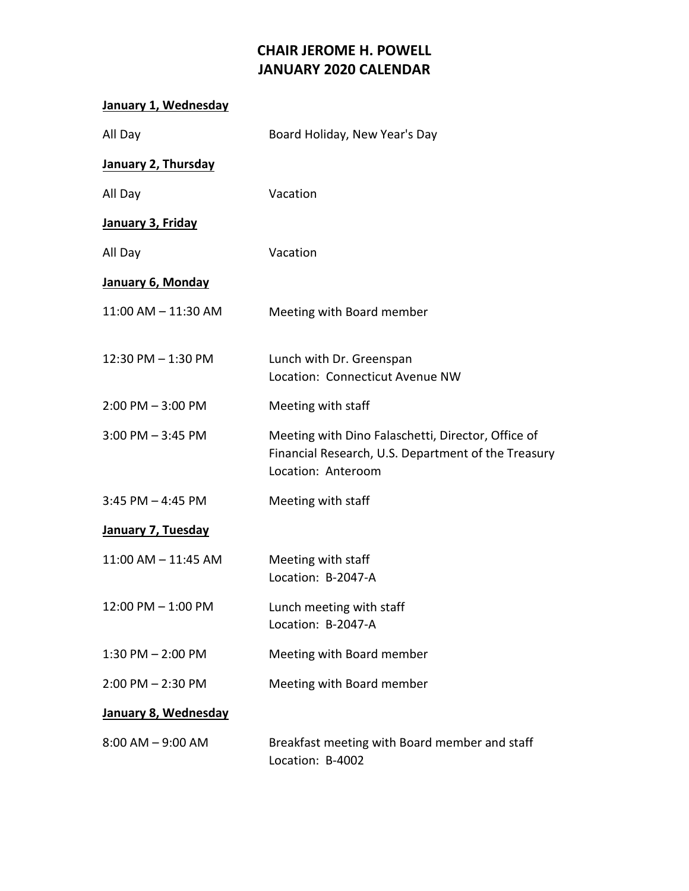## **CHAIR JEROME H. POWELL JANUARY 2020 CALENDAR**

## **January 1, Wednesday**

| All Day                   | Board Holiday, New Year's Day                                                                                                   |
|---------------------------|---------------------------------------------------------------------------------------------------------------------------------|
| January 2, Thursday       |                                                                                                                                 |
| All Day                   | Vacation                                                                                                                        |
| January 3, Friday         |                                                                                                                                 |
| All Day                   | Vacation                                                                                                                        |
| January 6, Monday         |                                                                                                                                 |
| $11:00$ AM $- 11:30$ AM   | Meeting with Board member                                                                                                       |
| 12:30 PM - 1:30 PM        | Lunch with Dr. Greenspan<br>Location: Connecticut Avenue NW                                                                     |
| $2:00$ PM $-3:00$ PM      | Meeting with staff                                                                                                              |
| $3:00$ PM $-3:45$ PM      | Meeting with Dino Falaschetti, Director, Office of<br>Financial Research, U.S. Department of the Treasury<br>Location: Anteroom |
| $3:45$ PM $-$ 4:45 PM     | Meeting with staff                                                                                                              |
| <b>January 7, Tuesday</b> |                                                                                                                                 |
| $11:00$ AM $- 11:45$ AM   | Meeting with staff<br>Location: B-2047-A                                                                                        |
| 12:00 PM - 1:00 PM        | Lunch meeting with staff<br>Location: B-2047-A                                                                                  |
| $1:30$ PM $- 2:00$ PM     | Meeting with Board member                                                                                                       |
| $2:00$ PM $- 2:30$ PM     | Meeting with Board member                                                                                                       |
| January 8, Wednesday      |                                                                                                                                 |
| $8:00$ AM $-$ 9:00 AM     | Breakfast meeting with Board member and staff<br>Location: B-4002                                                               |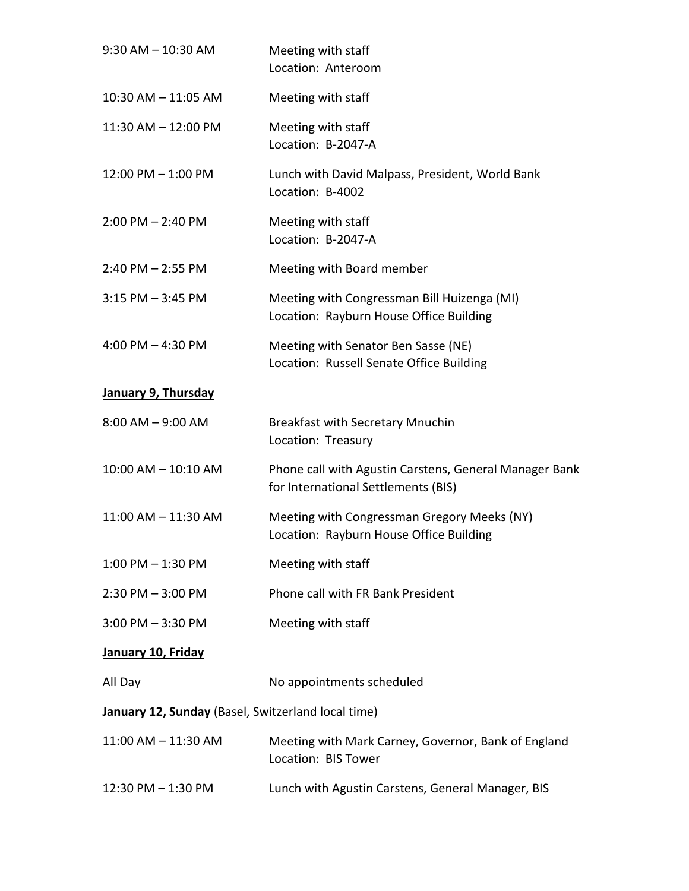| 9:30 AM – 10:30 AM                                 | Meeting with staff<br>Location: Anteroom                                                      |
|----------------------------------------------------|-----------------------------------------------------------------------------------------------|
| 10:30 AM - 11:05 AM                                | Meeting with staff                                                                            |
| 11:30 AM - 12:00 PM                                | Meeting with staff<br>Location: B-2047-A                                                      |
| 12:00 PM - 1:00 PM                                 | Lunch with David Malpass, President, World Bank<br>Location: B-4002                           |
| 2:00 PM - 2:40 PM                                  | Meeting with staff<br>Location: B-2047-A                                                      |
| 2:40 PM - 2:55 PM                                  | Meeting with Board member                                                                     |
| $3:15$ PM $-3:45$ PM                               | Meeting with Congressman Bill Huizenga (MI)<br>Location: Rayburn House Office Building        |
| 4:00 PM - 4:30 PM                                  | Meeting with Senator Ben Sasse (NE)<br>Location: Russell Senate Office Building               |
| January 9, Thursday                                |                                                                                               |
| 8:00 AM - 9:00 AM                                  | <b>Breakfast with Secretary Mnuchin</b><br>Location: Treasury                                 |
| 10:00 AM - 10:10 AM                                | Phone call with Agustin Carstens, General Manager Bank<br>for International Settlements (BIS) |
| 11:00 AM - 11:30 AM                                | Meeting with Congressman Gregory Meeks (NY)<br>Location: Rayburn House Office Building        |
| 1:00 PM - 1:30 PM                                  | Meeting with staff                                                                            |
| 2:30 PM - 3:00 PM                                  | Phone call with FR Bank President                                                             |
| 3:00 PM - 3:30 PM                                  | Meeting with staff                                                                            |
| <u>January 10, Friday</u>                          |                                                                                               |
| All Day                                            | No appointments scheduled                                                                     |
| January 12, Sunday (Basel, Switzerland local time) |                                                                                               |
| 11:00 AM - 11:30 AM                                | Meeting with Mark Carney, Governor, Bank of England<br>Location: BIS Tower                    |
| 12:30 PM - 1:30 PM                                 | Lunch with Agustin Carstens, General Manager, BIS                                             |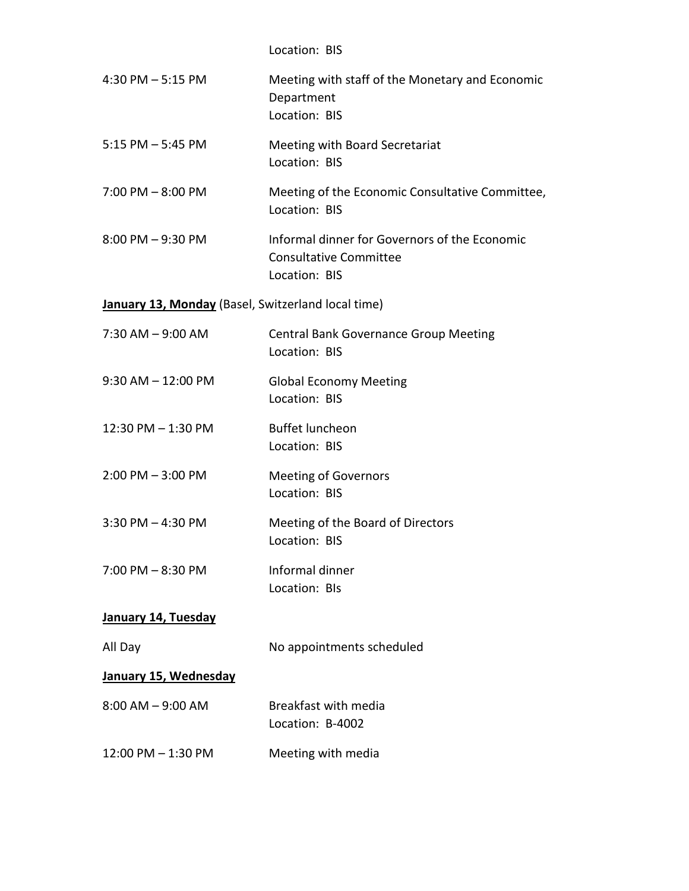|                                                    | Location: BIS                                                                                   |
|----------------------------------------------------|-------------------------------------------------------------------------------------------------|
| $4:30$ PM $-5:15$ PM                               | Meeting with staff of the Monetary and Economic<br>Department<br>Location: BIS                  |
| $5:15$ PM $-5:45$ PM                               | Meeting with Board Secretariat<br>Location: BIS                                                 |
| $7:00$ PM $-8:00$ PM                               | Meeting of the Economic Consultative Committee,<br>Location: BIS                                |
| $8:00$ PM $-9:30$ PM                               | Informal dinner for Governors of the Economic<br><b>Consultative Committee</b><br>Location: BIS |
| January 13, Monday (Basel, Switzerland local time) |                                                                                                 |
| $7:30$ AM $-9:00$ AM                               | <b>Central Bank Governance Group Meeting</b><br>Location: BIS                                   |
| $9:30$ AM $- 12:00$ PM                             | <b>Global Economy Meeting</b><br>Location: BIS                                                  |
| 12:30 PM - 1:30 PM                                 | <b>Buffet luncheon</b><br>Location: BIS                                                         |
| $2:00$ PM $-3:00$ PM                               | <b>Meeting of Governors</b><br>Location: BIS                                                    |
| $3:30$ PM $-4:30$ PM                               | Meeting of the Board of Directors<br>Location: BIS                                              |
| $7:00$ PM $-8:30$ PM                               | Informal dinner<br>Location: Bls                                                                |
| January 14, Tuesday                                |                                                                                                 |
| All Day                                            | No appointments scheduled                                                                       |
| January 15, Wednesday                              |                                                                                                 |
| $8:00$ AM $-$ 9:00 AM                              | <b>Breakfast with media</b><br>Location: B-4002                                                 |
| 12:00 PM - 1:30 PM                                 | Meeting with media                                                                              |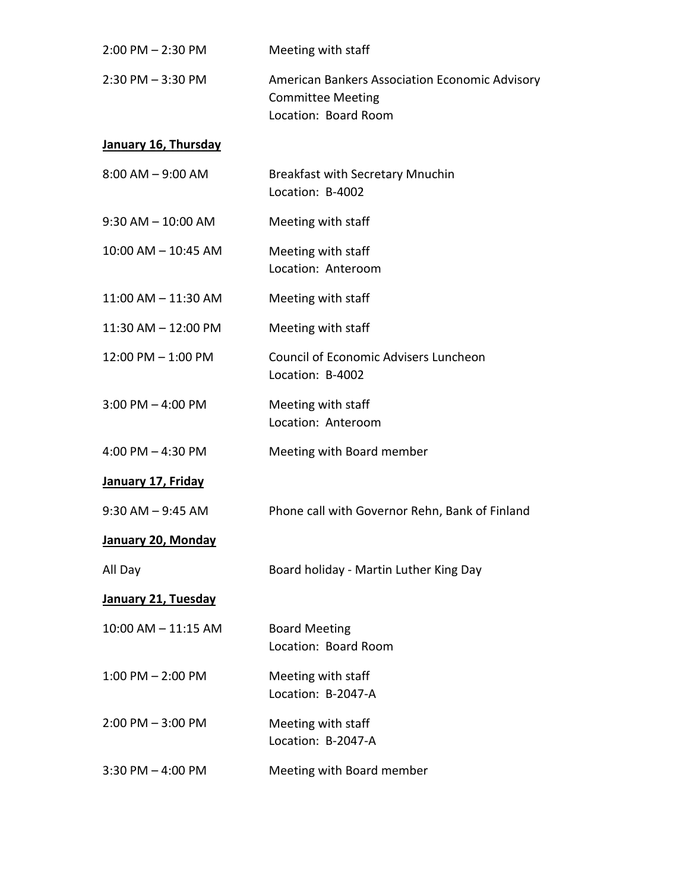| $2:00$ PM $- 2:30$ PM     | Meeting with staff                                                                                 |
|---------------------------|----------------------------------------------------------------------------------------------------|
| $2:30$ PM $-3:30$ PM      | American Bankers Association Economic Advisory<br><b>Committee Meeting</b><br>Location: Board Room |
| January 16, Thursday      |                                                                                                    |
| $8:00$ AM $-$ 9:00 AM     | <b>Breakfast with Secretary Mnuchin</b><br>Location: B-4002                                        |
| $9:30$ AM $- 10:00$ AM    | Meeting with staff                                                                                 |
| 10:00 AM - 10:45 AM       | Meeting with staff<br>Location: Anteroom                                                           |
| $11:00$ AM $- 11:30$ AM   | Meeting with staff                                                                                 |
| 11:30 AM - 12:00 PM       | Meeting with staff                                                                                 |
| 12:00 PM - 1:00 PM        | <b>Council of Economic Advisers Luncheon</b><br>Location: B-4002                                   |
| $3:00$ PM $-$ 4:00 PM     | Meeting with staff<br>Location: Anteroom                                                           |
| 4:00 PM $-$ 4:30 PM       | Meeting with Board member                                                                          |
| January 17, Friday        |                                                                                                    |
| $9:30$ AM $-9:45$ AM      | Phone call with Governor Rehn, Bank of Finland                                                     |
| <b>January 20, Monday</b> |                                                                                                    |
| All Day                   | Board holiday - Martin Luther King Day                                                             |
| January 21, Tuesday       |                                                                                                    |
| 10:00 AM - 11:15 AM       | <b>Board Meeting</b><br>Location: Board Room                                                       |
| $1:00$ PM $- 2:00$ PM     | Meeting with staff<br>Location: B-2047-A                                                           |
| $2:00$ PM $-3:00$ PM      | Meeting with staff<br>Location: B-2047-A                                                           |
| $3:30$ PM $- 4:00$ PM     | Meeting with Board member                                                                          |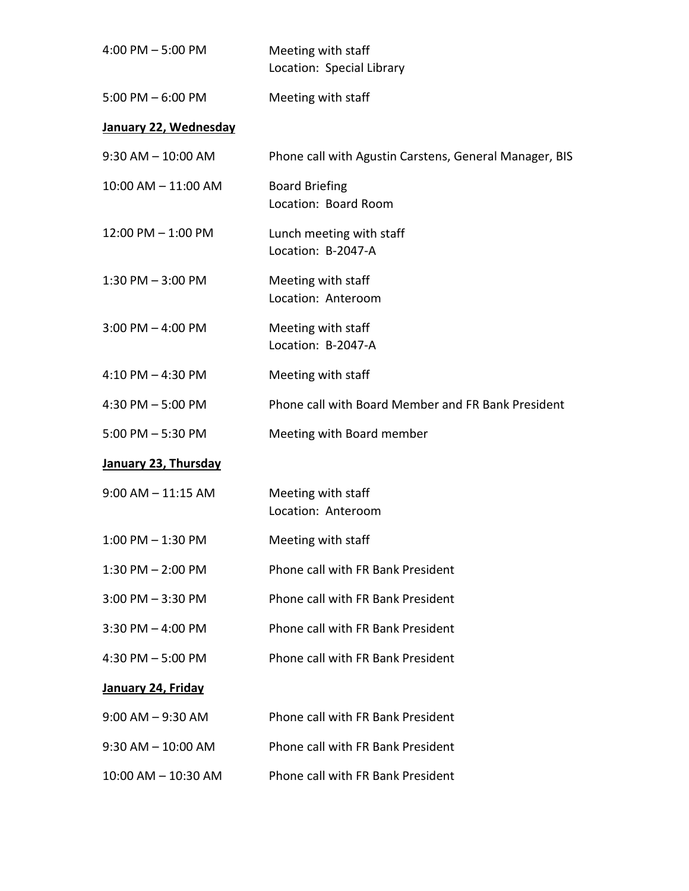| 4:00 PM $-$ 5:00 PM       | Meeting with staff<br>Location: Special Library        |
|---------------------------|--------------------------------------------------------|
| $5:00$ PM $-6:00$ PM      | Meeting with staff                                     |
| January 22, Wednesday     |                                                        |
| $9:30$ AM $- 10:00$ AM    | Phone call with Agustin Carstens, General Manager, BIS |
| 10:00 AM - 11:00 AM       | <b>Board Briefing</b><br>Location: Board Room          |
| 12:00 PM - 1:00 PM        | Lunch meeting with staff<br>Location: B-2047-A         |
| $1:30$ PM $-3:00$ PM      | Meeting with staff<br>Location: Anteroom               |
| $3:00$ PM $-$ 4:00 PM     | Meeting with staff<br>Location: B-2047-A               |
| $4:10$ PM $- 4:30$ PM     | Meeting with staff                                     |
| 4:30 PM $-$ 5:00 PM       | Phone call with Board Member and FR Bank President     |
| $5:00$ PM $-5:30$ PM      | Meeting with Board member                              |
| January 23, Thursday      |                                                        |
| $9:00$ AM $-$ 11:15 AM    | Meeting with staff<br>Location: Anteroom               |
| $1:00$ PM $-1:30$ PM      | Meeting with staff                                     |
| $1:30$ PM $- 2:00$ PM     | Phone call with FR Bank President                      |
| $3:00$ PM $-3:30$ PM      | Phone call with FR Bank President                      |
| $3:30$ PM $-$ 4:00 PM     | Phone call with FR Bank President                      |
| 4:30 PM $-5:00$ PM        | Phone call with FR Bank President                      |
| <b>January 24, Friday</b> |                                                        |
| $9:00$ AM $-9:30$ AM      | Phone call with FR Bank President                      |
| $9:30$ AM $- 10:00$ AM    | Phone call with FR Bank President                      |
| $10:00$ AM $- 10:30$ AM   | Phone call with FR Bank President                      |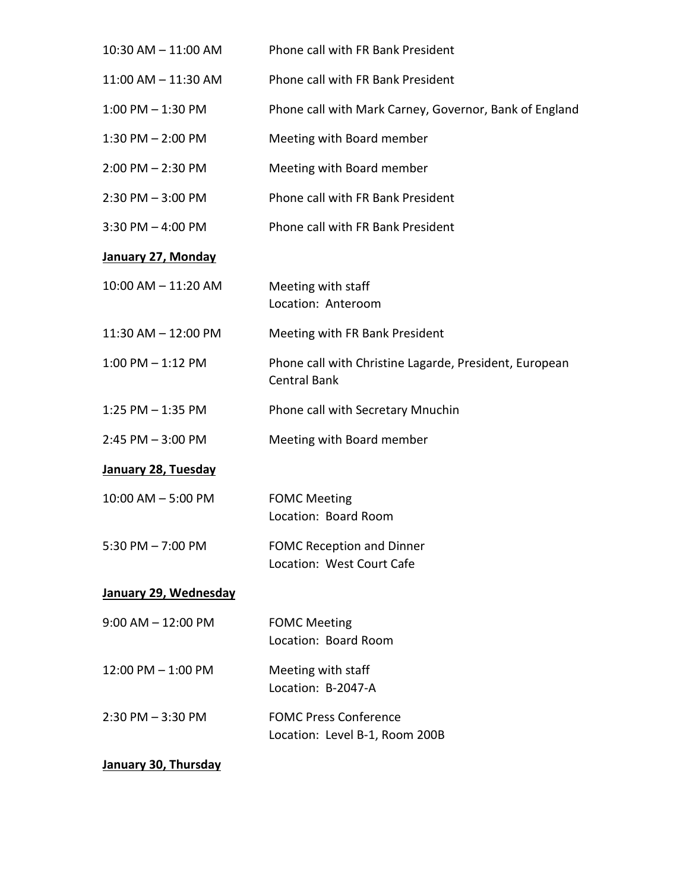| 10:30 AM - 11:00 AM    | Phone call with FR Bank President                                             |
|------------------------|-------------------------------------------------------------------------------|
| 11:00 AM - 11:30 AM    | Phone call with FR Bank President                                             |
| $1:00$ PM $- 1:30$ PM  | Phone call with Mark Carney, Governor, Bank of England                        |
| $1:30$ PM $- 2:00$ PM  | Meeting with Board member                                                     |
| $2:00$ PM $- 2:30$ PM  | Meeting with Board member                                                     |
| $2:30$ PM $-3:00$ PM   | Phone call with FR Bank President                                             |
| $3:30$ PM $-$ 4:00 PM  | Phone call with FR Bank President                                             |
| January 27, Monday     |                                                                               |
| 10:00 AM - 11:20 AM    | Meeting with staff<br>Location: Anteroom                                      |
| 11:30 AM - 12:00 PM    | Meeting with FR Bank President                                                |
| $1:00$ PM $-1:12$ PM   | Phone call with Christine Lagarde, President, European<br><b>Central Bank</b> |
| $1:25$ PM $-1:35$ PM   | Phone call with Secretary Mnuchin                                             |
| $2:45$ PM $-3:00$ PM   | Meeting with Board member                                                     |
| January 28, Tuesday    |                                                                               |
| $10:00$ AM $-5:00$ PM  | <b>FOMC Meeting</b><br>Location: Board Room                                   |
| $5:30$ PM $- 7:00$ PM  | <b>FOMC Reception and Dinner</b><br>Location: West Court Cafe                 |
| January 29, Wednesday  |                                                                               |
| $9:00$ AM $- 12:00$ PM | <b>FOMC Meeting</b><br>Location: Board Room                                   |
| 12:00 PM - 1:00 PM     | Meeting with staff<br>Location: B-2047-A                                      |
| $2:30$ PM $-3:30$ PM   | <b>FOMC Press Conference</b><br>Location: Level B-1, Room 200B                |
|                        |                                                                               |

**January 30, Thursday**